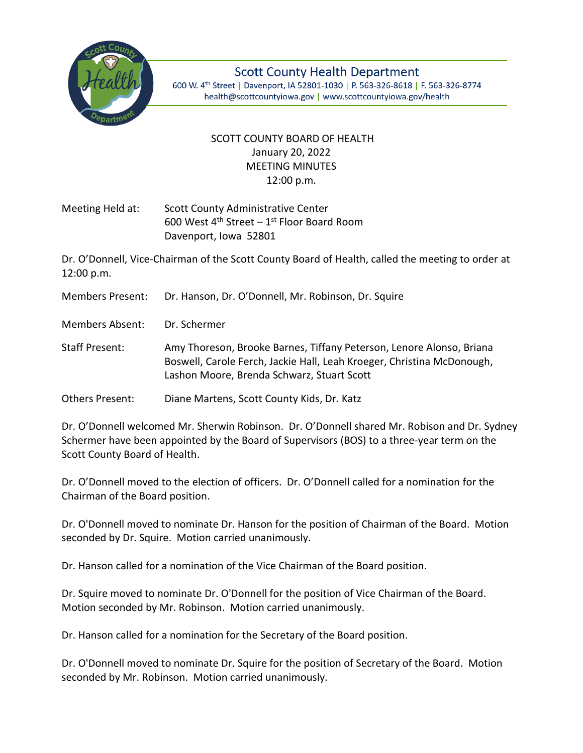

**Scott County Health Department** 600 W. 4th Street | Davenport, IA 52801-1030 | P. 563-326-8618 | F. 563-326-8774 health@scottcountyiowa.gov | www.scottcountyiowa.gov/health

## SCOTT COUNTY BOARD OF HEALTH January 20, 2022 MEETING MINUTES 12:00 p.m.

Meeting Held at: Scott County Administrative Center 600 West  $4^{\text{th}}$  Street – 1st Floor Board Room Davenport, Iowa 52801

Dr. O'Donnell, Vice-Chairman of the Scott County Board of Health, called the meeting to order at 12:00 p.m.

Members Present: Dr. Hanson, Dr. O'Donnell, Mr. Robinson, Dr. Squire

Members Absent: Dr. Schermer

Staff Present: Amy Thoreson, Brooke Barnes, Tiffany Peterson, Lenore Alonso, Briana Boswell, Carole Ferch, Jackie Hall, Leah Kroeger, Christina McDonough, Lashon Moore, Brenda Schwarz, Stuart Scott

Others Present: Diane Martens, Scott County Kids, Dr. Katz

Dr. O'Donnell welcomed Mr. Sherwin Robinson. Dr. O'Donnell shared Mr. Robison and Dr. Sydney Schermer have been appointed by the Board of Supervisors (BOS) to a three-year term on the Scott County Board of Health.

Dr. O'Donnell moved to the election of officers. Dr. O'Donnell called for a nomination for the Chairman of the Board position.

Dr. O'Donnell moved to nominate Dr. Hanson for the position of Chairman of the Board. Motion seconded by Dr. Squire. Motion carried unanimously.

Dr. Hanson called for a nomination of the Vice Chairman of the Board position.

Dr. Squire moved to nominate Dr. O'Donnell for the position of Vice Chairman of the Board. Motion seconded by Mr. Robinson. Motion carried unanimously.

Dr. Hanson called for a nomination for the Secretary of the Board position.

Dr. O'Donnell moved to nominate Dr. Squire for the position of Secretary of the Board. Motion seconded by Mr. Robinson. Motion carried unanimously.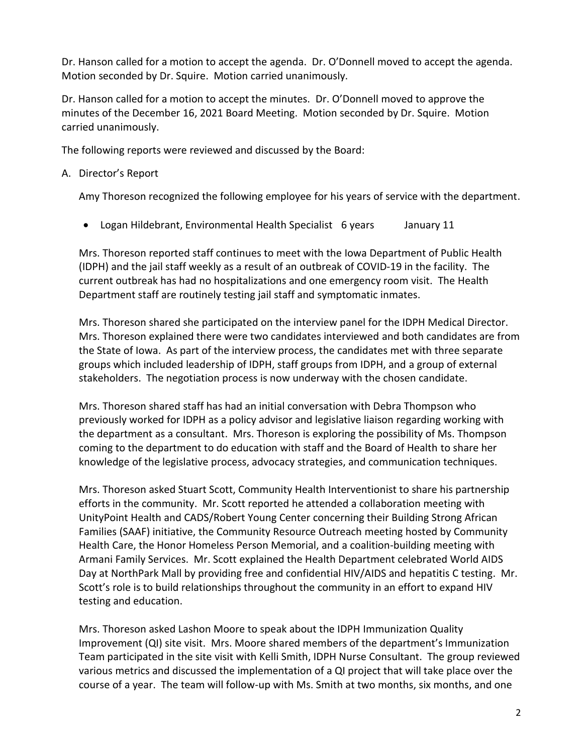Dr. Hanson called for a motion to accept the agenda. Dr. O'Donnell moved to accept the agenda. Motion seconded by Dr. Squire. Motion carried unanimously.

Dr. Hanson called for a motion to accept the minutes. Dr. O'Donnell moved to approve the minutes of the December 16, 2021 Board Meeting. Motion seconded by Dr. Squire. Motion carried unanimously.

The following reports were reviewed and discussed by the Board:

## A. Director's Report

Amy Thoreson recognized the following employee for his years of service with the department.

• Logan Hildebrant, Environmental Health Specialist 6 years January 11

Mrs. Thoreson reported staff continues to meet with the Iowa Department of Public Health (IDPH) and the jail staff weekly as a result of an outbreak of COVID-19 in the facility. The current outbreak has had no hospitalizations and one emergency room visit. The Health Department staff are routinely testing jail staff and symptomatic inmates.

Mrs. Thoreson shared she participated on the interview panel for the IDPH Medical Director. Mrs. Thoreson explained there were two candidates interviewed and both candidates are from the State of Iowa. As part of the interview process, the candidates met with three separate groups which included leadership of IDPH, staff groups from IDPH, and a group of external stakeholders. The negotiation process is now underway with the chosen candidate.

Mrs. Thoreson shared staff has had an initial conversation with Debra Thompson who previously worked for IDPH as a policy advisor and legislative liaison regarding working with the department as a consultant. Mrs. Thoreson is exploring the possibility of Ms. Thompson coming to the department to do education with staff and the Board of Health to share her knowledge of the legislative process, advocacy strategies, and communication techniques.

Mrs. Thoreson asked Stuart Scott, Community Health Interventionist to share his partnership efforts in the community. Mr. Scott reported he attended a collaboration meeting with UnityPoint Health and CADS/Robert Young Center concerning their Building Strong African Families (SAAF) initiative, the Community Resource Outreach meeting hosted by Community Health Care, the Honor Homeless Person Memorial, and a coalition-building meeting with Armani Family Services. Mr. Scott explained the Health Department celebrated World AIDS Day at NorthPark Mall by providing free and confidential HIV/AIDS and hepatitis C testing. Mr. Scott's role is to build relationships throughout the community in an effort to expand HIV testing and education.

Mrs. Thoreson asked Lashon Moore to speak about the IDPH Immunization Quality Improvement (QI) site visit. Mrs. Moore shared members of the department's Immunization Team participated in the site visit with Kelli Smith, IDPH Nurse Consultant. The group reviewed various metrics and discussed the implementation of a QI project that will take place over the course of a year. The team will follow-up with Ms. Smith at two months, six months, and one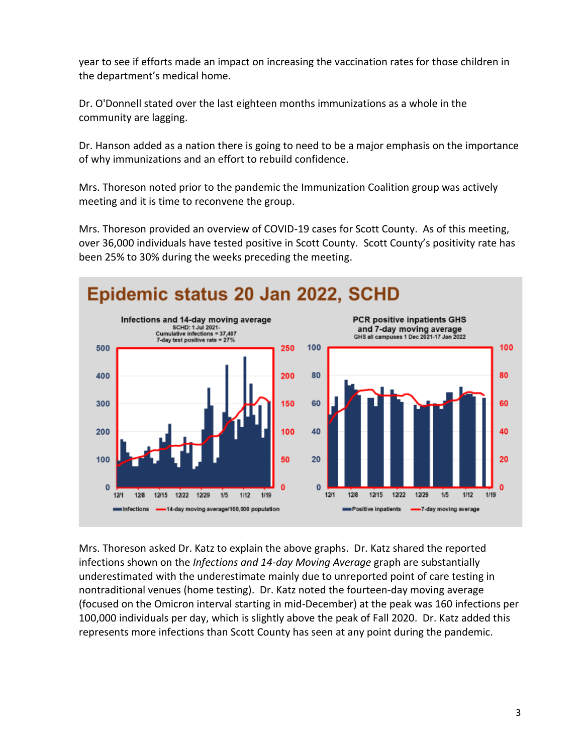year to see if efforts made an impact on increasing the vaccination rates for those children in the department's medical home.

Dr. O'Donnell stated over the last eighteen months immunizations as a whole in the community are lagging.

Dr. Hanson added as a nation there is going to need to be a major emphasis on the importance of why immunizations and an effort to rebuild confidence.

Mrs. Thoreson noted prior to the pandemic the Immunization Coalition group was actively meeting and it is time to reconvene the group.

Mrs. Thoreson provided an overview of COVID-19 cases for Scott County. As of this meeting, over 36,000 individuals have tested positive in Scott County. Scott County's positivity rate has been 25% to 30% during the weeks preceding the meeting.



Mrs. Thoreson asked Dr. Katz to explain the above graphs. Dr. Katz shared the reported infections shown on the *Infections and 14-day Moving Average* graph are substantially underestimated with the underestimate mainly due to unreported point of care testing in nontraditional venues (home testing). Dr. Katz noted the fourteen-day moving average (focused on the Omicron interval starting in mid-December) at the peak was 160 infections per 100,000 individuals per day, which is slightly above the peak of Fall 2020. Dr. Katz added this represents more infections than Scott County has seen at any point during the pandemic.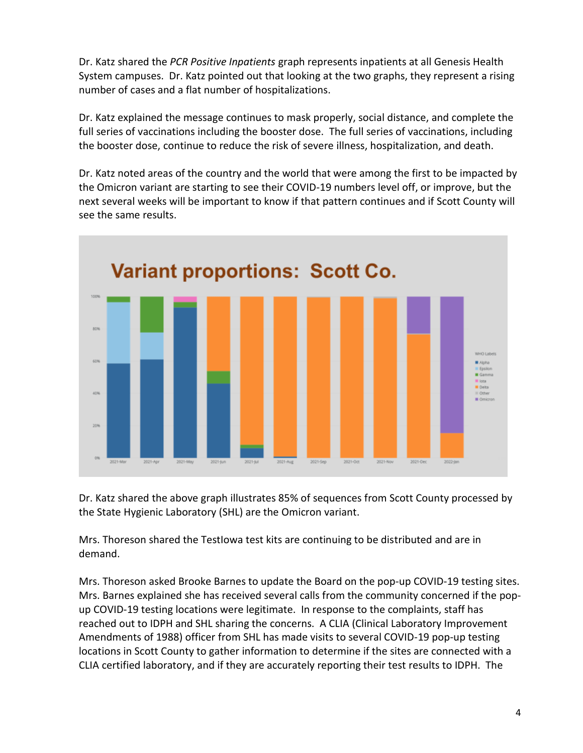Dr. Katz shared the *PCR Positive Inpatients* graph represents inpatients at all Genesis Health System campuses. Dr. Katz pointed out that looking at the two graphs, they represent a rising number of cases and a flat number of hospitalizations.

Dr. Katz explained the message continues to mask properly, social distance, and complete the full series of vaccinations including the booster dose. The full series of vaccinations, including the booster dose, continue to reduce the risk of severe illness, hospitalization, and death.

Dr. Katz noted areas of the country and the world that were among the first to be impacted by the Omicron variant are starting to see their COVID-19 numbers level off, or improve, but the next several weeks will be important to know if that pattern continues and if Scott County will see the same results.



Dr. Katz shared the above graph illustrates 85% of sequences from Scott County processed by the State Hygienic Laboratory (SHL) are the Omicron variant.

Mrs. Thoreson shared the TestIowa test kits are continuing to be distributed and are in demand.

Mrs. Thoreson asked Brooke Barnes to update the Board on the pop-up COVID-19 testing sites. Mrs. Barnes explained she has received several calls from the community concerned if the popup COVID-19 testing locations were legitimate. In response to the complaints, staff has reached out to IDPH and SHL sharing the concerns. A CLIA (Clinical Laboratory Improvement Amendments of 1988) officer from SHL has made visits to several COVID-19 pop-up testing locations in Scott County to gather information to determine if the sites are connected with a CLIA certified laboratory, and if they are accurately reporting their test results to IDPH. The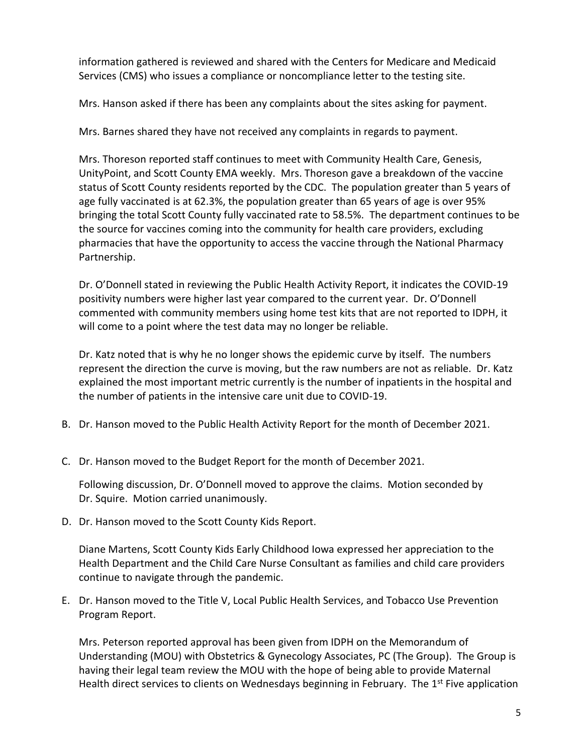information gathered is reviewed and shared with the Centers for Medicare and Medicaid Services (CMS) who issues a compliance or noncompliance letter to the testing site.

Mrs. Hanson asked if there has been any complaints about the sites asking for payment.

Mrs. Barnes shared they have not received any complaints in regards to payment.

Mrs. Thoreson reported staff continues to meet with Community Health Care, Genesis, UnityPoint, and Scott County EMA weekly. Mrs. Thoreson gave a breakdown of the vaccine status of Scott County residents reported by the CDC. The population greater than 5 years of age fully vaccinated is at 62.3%, the population greater than 65 years of age is over 95% bringing the total Scott County fully vaccinated rate to 58.5%. The department continues to be the source for vaccines coming into the community for health care providers, excluding pharmacies that have the opportunity to access the vaccine through the National Pharmacy Partnership.

Dr. O'Donnell stated in reviewing the Public Health Activity Report, it indicates the COVID-19 positivity numbers were higher last year compared to the current year. Dr. O'Donnell commented with community members using home test kits that are not reported to IDPH, it will come to a point where the test data may no longer be reliable.

Dr. Katz noted that is why he no longer shows the epidemic curve by itself. The numbers represent the direction the curve is moving, but the raw numbers are not as reliable. Dr. Katz explained the most important metric currently is the number of inpatients in the hospital and the number of patients in the intensive care unit due to COVID-19.

- B. Dr. Hanson moved to the Public Health Activity Report for the month of December 2021.
- C. Dr. Hanson moved to the Budget Report for the month of December 2021.

Following discussion, Dr. O'Donnell moved to approve the claims. Motion seconded by Dr. Squire. Motion carried unanimously.

D. Dr. Hanson moved to the Scott County Kids Report.

Diane Martens, Scott County Kids Early Childhood Iowa expressed her appreciation to the Health Department and the Child Care Nurse Consultant as families and child care providers continue to navigate through the pandemic.

E. Dr. Hanson moved to the Title V, Local Public Health Services, and Tobacco Use Prevention Program Report.

Mrs. Peterson reported approval has been given from IDPH on the Memorandum of Understanding (MOU) with Obstetrics & Gynecology Associates, PC (The Group). The Group is having their legal team review the MOU with the hope of being able to provide Maternal Health direct services to clients on Wednesdays beginning in February. The  $1^{st}$  Five application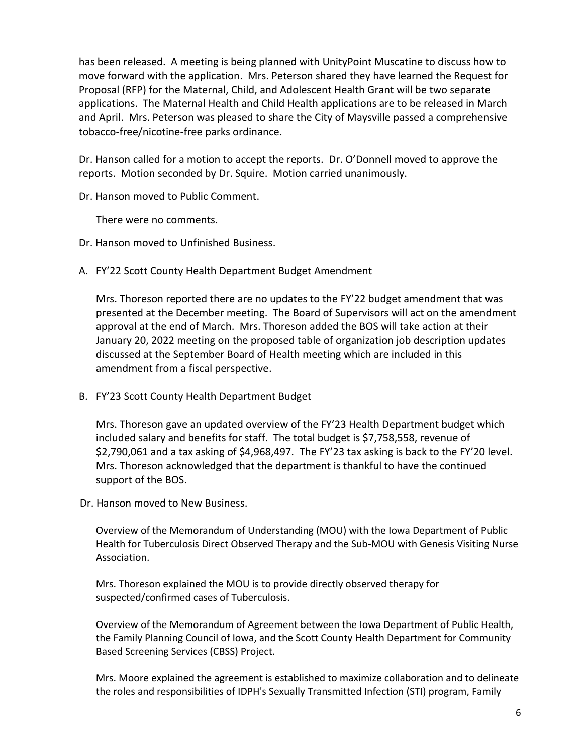has been released. A meeting is being planned with UnityPoint Muscatine to discuss how to move forward with the application. Mrs. Peterson shared they have learned the Request for Proposal (RFP) for the Maternal, Child, and Adolescent Health Grant will be two separate applications. The Maternal Health and Child Health applications are to be released in March and April. Mrs. Peterson was pleased to share the City of Maysville passed a comprehensive tobacco-free/nicotine-free parks ordinance.

Dr. Hanson called for a motion to accept the reports. Dr. O'Donnell moved to approve the reports. Motion seconded by Dr. Squire. Motion carried unanimously.

Dr. Hanson moved to Public Comment.

There were no comments.

- Dr. Hanson moved to Unfinished Business.
- A. FY'22 Scott County Health Department Budget Amendment

Mrs. Thoreson reported there are no updates to the FY'22 budget amendment that was presented at the December meeting. The Board of Supervisors will act on the amendment approval at the end of March. Mrs. Thoreson added the BOS will take action at their January 20, 2022 meeting on the proposed table of organization job description updates discussed at the September Board of Health meeting which are included in this amendment from a fiscal perspective.

B. FY'23 Scott County Health Department Budget

Mrs. Thoreson gave an updated overview of the FY'23 Health Department budget which included salary and benefits for staff. The total budget is \$7,758,558, revenue of \$2,790,061 and a tax asking of \$4,968,497. The FY'23 tax asking is back to the FY'20 level. Mrs. Thoreson acknowledged that the department is thankful to have the continued support of the BOS.

Dr. Hanson moved to New Business.

Overview of the Memorandum of Understanding (MOU) with the Iowa Department of Public Health for Tuberculosis Direct Observed Therapy and the Sub-MOU with Genesis Visiting Nurse Association.

Mrs. Thoreson explained the MOU is to provide directly observed therapy for suspected/confirmed cases of Tuberculosis.

Overview of the Memorandum of Agreement between the Iowa Department of Public Health, the Family Planning Council of Iowa, and the Scott County Health Department for Community Based Screening Services (CBSS) Project.

Mrs. Moore explained the agreement is established to maximize collaboration and to delineate the roles and responsibilities of IDPH's Sexually Transmitted Infection (STI) program, Family